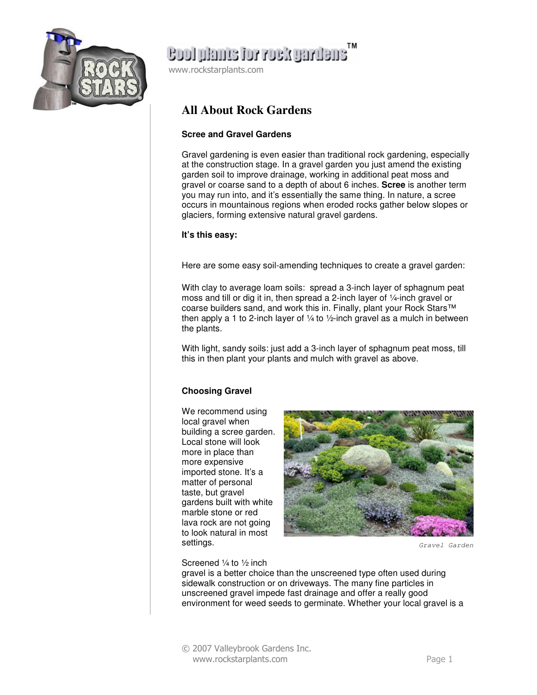

# **Cool plants for rock gardens**

www.rockstarplants.com

### **All About Rock Gardens**

#### **Scree and Gravel Gardens**

Gravel gardening is even easier than traditional rock gardening, especially at the construction stage. In a gravel garden you just amend the existing garden soil to improve drainage, working in additional peat moss and gravel or coarse sand to a depth of about 6 inches. **Scree** is another term you may run into, and it's essentially the same thing. In nature, a scree occurs in mountainous regions when eroded rocks gather below slopes or glaciers, forming extensive natural gravel gardens.

#### **It's this easy:**

Here are some easy soil-amending techniques to create a gravel garden:

With clay to average loam soils: spread a 3-inch layer of sphagnum peat moss and till or dig it in, then spread a 2-inch layer of ¼-inch gravel or coarse builders sand, and work this in. Finally, plant your Rock Stars™ then apply a 1 to 2-inch layer of  $\frac{1}{4}$  to  $\frac{1}{2}$ -inch gravel as a mulch in between the plants.

With light, sandy soils: just add a 3-inch layer of sphagnum peat moss, till this in then plant your plants and mulch with gravel as above.

### **Choosing Gravel**

We recommend using local gravel when building a scree garden. Local stone will look more in place than more expensive imported stone. It's a matter of personal taste, but gravel gardens built with white marble stone or red lava rock are not going to look natural in most settings.



Gravel Garden

#### Screened ¼ to ½ inch

gravel is a better choice than the unscreened type often used during sidewalk construction or on driveways. The many fine particles in unscreened gravel impede fast drainage and offer a really good environment for weed seeds to germinate. Whether your local gravel is a

© 2007 Valleybrook Gardens Inc. www.rockstarplants.com Page 1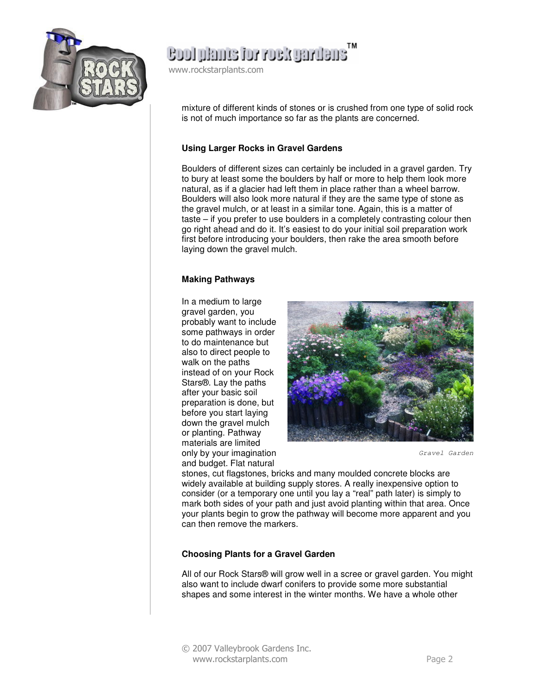

ensuring Noor rot enmal loos

www.rockstarplants.com

mixture of different kinds of stones or is crushed from one type of solid rock is not of much importance so far as the plants are concerned.

#### **Using Larger Rocks in Gravel Gardens**

Boulders of different sizes can certainly be included in a gravel garden. Try to bury at least some the boulders by half or more to help them look more natural, as if a glacier had left them in place rather than a wheel barrow. Boulders will also look more natural if they are the same type of stone as the gravel mulch, or at least in a similar tone. Again, this is a matter of taste – if you prefer to use boulders in a completely contrasting colour then go right ahead and do it. It's easiest to do your initial soil preparation work first before introducing your boulders, then rake the area smooth before laying down the gravel mulch.

#### **Making Pathways**

In a medium to large gravel garden, you probably want to include some pathways in order to do maintenance but also to direct people to walk on the paths instead of on your Rock Stars®. Lay the paths after your basic soil preparation is done, but before you start laying down the gravel mulch or planting. Pathway materials are limited only by your imagination and budget. Flat natural



Gravel Garden

stones, cut flagstones, bricks and many moulded concrete blocks are widely available at building supply stores. A really inexpensive option to consider (or a temporary one until you lay a "real" path later) is simply to mark both sides of your path and just avoid planting within that area. Once your plants begin to grow the pathway will become more apparent and you can then remove the markers.

#### **Choosing Plants for a Gravel Garden**

All of our Rock Stars® will grow well in a scree or gravel garden. You might also want to include dwarf conifers to provide some more substantial shapes and some interest in the winter months. We have a whole other

© 2007 Valleybrook Gardens Inc. www.rockstarplants.com Page 2